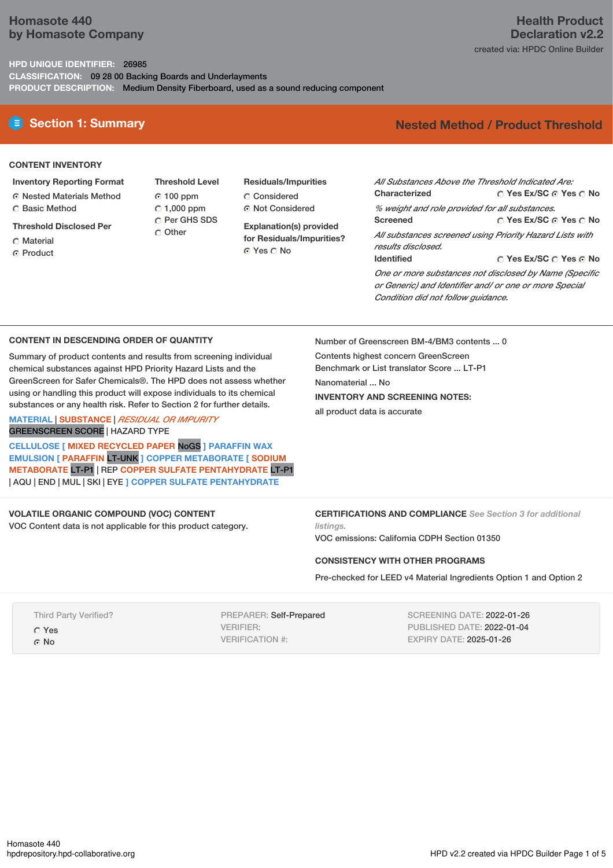# **Homasote 440 by Homasote Company**

## **HPD UNIQUE IDENTIFIER:** 26985

**CLASSIFICATION:** 09 28 00 Backing Boards and Underlayments **PRODUCT DESCRIPTION:** Medium Density Fiberboard, used as a sound reducing component

# **Section 1: Summary Nested Method / Product Threshold**

#### **CONTENT INVENTORY**

- **Inventory Reporting Format**
- Nested Materials Method
- **C** Basic Method
- **Threshold Disclosed Per**
- C Material **C** Product

**Threshold Level** 100 ppm  $\degree$  1,000 ppm C Per GHS SDS C Other

**Residuals/Impurities** Considered Not Considered

**Explanation(s) provided for Residuals/Impurities?** ⊙ Yes  $\bigcirc$  No

**Yes Ex/SC Yes No Yes Ex/SC Yes No Yes Ex/SC Yes No** *All Substances Above the Threshold Indicated Are:* **Characterized** *% weight and role provided for all substances.* **Screened** *All substances screened using Priority Hazard Lists with results disclosed.* **Identified** *One or more substances not disclosed by Name (Specific or Generic) and Identifier and/ or one or more Special Condition did not follow guidance.*

## **CONTENT IN DESCENDING ORDER OF QUANTITY**

Summary of product contents and results from screening individual chemical substances against HPD Priority Hazard Lists and the GreenScreen for Safer Chemicals®. The HPD does not assess whether using or handling this product will expose individuals to its chemical substances or any health risk. Refer to Section 2 for further details.

## **MATERIAL** | **SUBSTANCE** | *RESIDUAL OR IMPURITY* GREENSCREEN SCORE | HAZARD TYPE

**CELLULOSE [ MIXED RECYCLED PAPER** NoGS **] PARAFFIN WAX EMULSION [ PARAFFIN** LT-UNK **] COPPER METABORATE [ SODIUM METABORATE** LT-P1 | REP **COPPER SULFATE PENTAHYDRATE** LT-P1 | AQU | END | MUL | SKI | EYE **] COPPER SULFATE PENTAHYDRATE**

## **VOLATILE ORGANIC COMPOUND (VOC) CONTENT**

VOC Content data is not applicable for this product category.

Number of Greenscreen BM-4/BM3 contents ... 0 Contents highest concern GreenScreen Benchmark or List translator Score ... LT-P1 Nanomaterial ... No **INVENTORY AND SCREENING NOTES:** all product data is accurate

**CERTIFICATIONS AND COMPLIANCE** *See Section 3 for additional listings.*

VOC emissions: California CDPH Section 01350

## **CONSISTENCY WITH OTHER PROGRAMS**

Pre-checked for LEED v4 Material Ingredients Option 1 and Option 2

| <b>Third Party Verified?</b> |
|------------------------------|
| C Yes                        |
| $\odot$ No                   |

PREPARER: Self-Prepared VERIFIER: VERIFICATION #:

SCREENING DATE: 2022-01-26 PUBLISHED DATE: 2022-01-04 EXPIRY DATE: 2025-01-26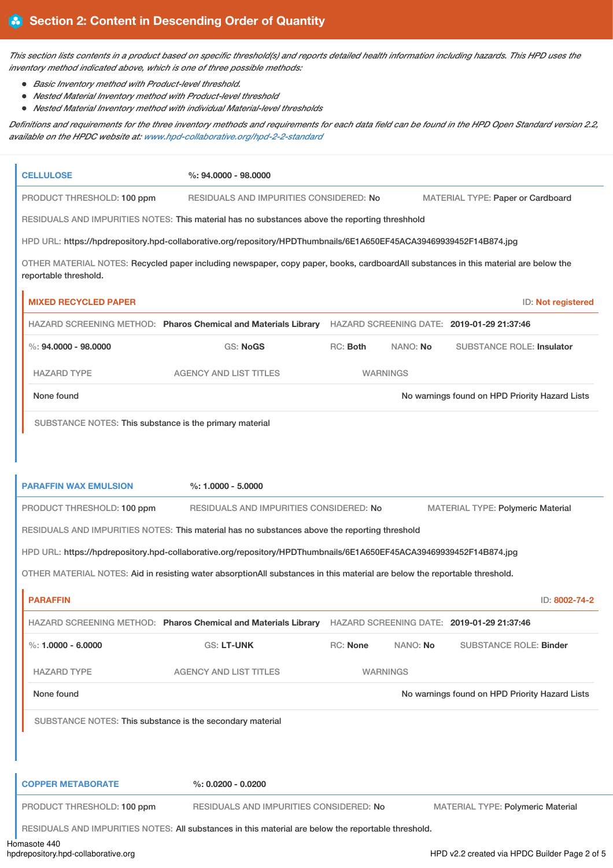This section lists contents in a product based on specific threshold(s) and reports detailed health information including hazards. This HPD uses the *inventory method indicated above, which is one of three possible methods:*

- *Basic Inventory method with Product-level threshold.*
- *Nested Material Inventory method with Product-level threshold*
- *Nested Material Inventory method with individual Material-level thresholds*

Definitions and requirements for the three inventory methods and requirements for each data field can be found in the HPD Open Standard version 2.2, *available on the HPDC website at: [www.hpd-collaborative.org/hpd-2-2-standard](https://www.hpd-collaborative.org/hpd-2-2-standard)*

| <b>CELLULOSE</b>                                                                                                                                             | $\%: 94.0000 - 98.0000$                                                                                                    |          |                 |                                                |                    |  |  |
|--------------------------------------------------------------------------------------------------------------------------------------------------------------|----------------------------------------------------------------------------------------------------------------------------|----------|-----------------|------------------------------------------------|--------------------|--|--|
| PRODUCT THRESHOLD: 100 ppm<br>RESIDUALS AND IMPURITIES CONSIDERED: No<br>MATERIAL TYPE: Paper or Cardboard                                                   |                                                                                                                            |          |                 |                                                |                    |  |  |
|                                                                                                                                                              | RESIDUALS AND IMPURITIES NOTES: This material has no substances above the reporting threshhold                             |          |                 |                                                |                    |  |  |
|                                                                                                                                                              | HPD URL: https://hpdrepository.hpd-collaborative.org/repository/HPDThumbnails/6E1A650EF45ACA39469939452F14B874.jpg         |          |                 |                                                |                    |  |  |
| OTHER MATERIAL NOTES: Recycled paper including newspaper, copy paper, books, cardboardAll substances in this material are below the<br>reportable threshold. |                                                                                                                            |          |                 |                                                |                    |  |  |
| <b>MIXED RECYCLED PAPER</b>                                                                                                                                  |                                                                                                                            |          |                 |                                                | ID: Not registered |  |  |
|                                                                                                                                                              | HAZARD SCREENING METHOD: Pharos Chemical and Materials Library HAZARD SCREENING DATE: 2019-01-29 21:37:46                  |          |                 |                                                |                    |  |  |
| $\%: 94,0000 - 98,0000$                                                                                                                                      | GS: NoGS                                                                                                                   | RC: Both | NANO: No        | <b>SUBSTANCE ROLE: Insulator</b>               |                    |  |  |
| <b>HAZARD TYPE</b>                                                                                                                                           | <b>AGENCY AND LIST TITLES</b>                                                                                              |          | <b>WARNINGS</b> |                                                |                    |  |  |
| None found                                                                                                                                                   |                                                                                                                            |          |                 | No warnings found on HPD Priority Hazard Lists |                    |  |  |
| SUBSTANCE NOTES: This substance is the primary material                                                                                                      |                                                                                                                            |          |                 |                                                |                    |  |  |
|                                                                                                                                                              |                                                                                                                            |          |                 |                                                |                    |  |  |
|                                                                                                                                                              |                                                                                                                            |          |                 |                                                |                    |  |  |
| <b>PARAFFIN WAX EMULSION</b>                                                                                                                                 | $%: 1.0000 - 5.0000$                                                                                                       |          |                 |                                                |                    |  |  |
|                                                                                                                                                              |                                                                                                                            |          |                 |                                                |                    |  |  |
| PRODUCT THRESHOLD: 100 ppm                                                                                                                                   | RESIDUALS AND IMPURITIES CONSIDERED: No                                                                                    |          |                 | MATERIAL TYPE: Polymeric Material              |                    |  |  |
|                                                                                                                                                              | RESIDUALS AND IMPURITIES NOTES: This material has no substances above the reporting threshold                              |          |                 |                                                |                    |  |  |
|                                                                                                                                                              | HPD URL: https://hpdrepository.hpd-collaborative.org/repository/HPDThumbnails/6E1A650EF45ACA39469939452F14B874.jpg         |          |                 |                                                |                    |  |  |
|                                                                                                                                                              | OTHER MATERIAL NOTES: Aid in resisting water absorptionAll substances in this material are below the reportable threshold. |          |                 |                                                |                    |  |  |
| <b>PARAFFIN</b>                                                                                                                                              |                                                                                                                            |          |                 |                                                | ID: 8002-74-2      |  |  |
|                                                                                                                                                              | HAZARD SCREENING METHOD: Pharos Chemical and Materials Library HAZARD SCREENING DATE: 2019-01-29 21:37:46                  |          |                 |                                                |                    |  |  |
| %: $1.0000 - 6.0000$                                                                                                                                         | <b>GS: LT-UNK</b>                                                                                                          | RC: None | NANO: No        | <b>SUBSTANCE ROLE: Binder</b>                  |                    |  |  |
| <b>HAZARD TYPE</b>                                                                                                                                           | <b>AGENCY AND LIST TITLES</b>                                                                                              |          | <b>WARNINGS</b> |                                                |                    |  |  |
| None found                                                                                                                                                   |                                                                                                                            |          |                 | No warnings found on HPD Priority Hazard Lists |                    |  |  |
| SUBSTANCE NOTES: This substance is the secondary material                                                                                                    |                                                                                                                            |          |                 |                                                |                    |  |  |
|                                                                                                                                                              |                                                                                                                            |          |                 |                                                |                    |  |  |
|                                                                                                                                                              |                                                                                                                            |          |                 |                                                |                    |  |  |
| <b>COPPER METABORATE</b>                                                                                                                                     | $\%: 0.0200 - 0.0200$                                                                                                      |          |                 |                                                |                    |  |  |
| PRODUCT THRESHOLD: 100 ppm                                                                                                                                   | RESIDUALS AND IMPURITIES CONSIDERED: No                                                                                    |          |                 | <b>MATERIAL TYPE: Polymeric Material</b>       |                    |  |  |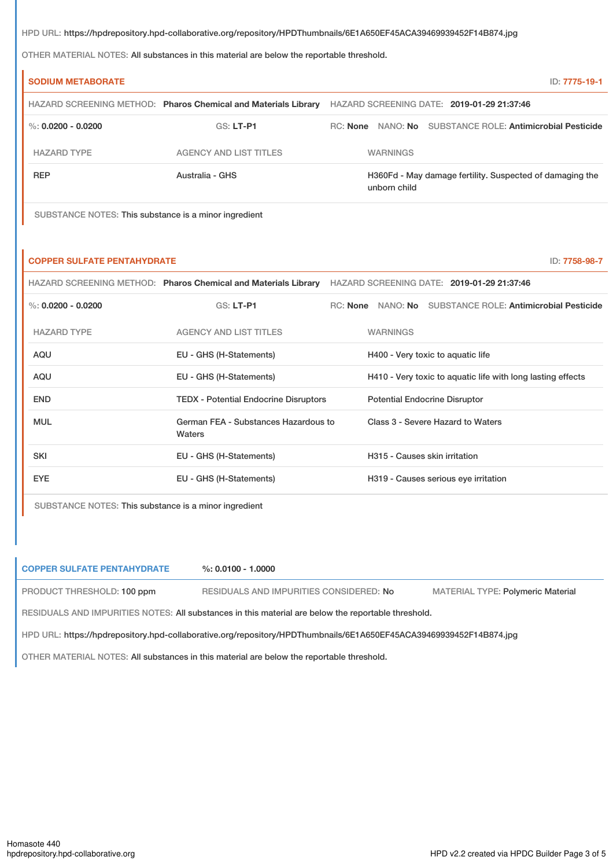HPD URL: https://hpdrepository.hpd-collaborative.org/repository/HPDThumbnails/6E1A650EF45ACA39469939452F14B874.jpg

OTHER MATERIAL NOTES: All substances in this material are below the reportable threshold.

| <b>SODIUM METABORATE</b> |                                                                | ID: 7775-19-1                                                            |
|--------------------------|----------------------------------------------------------------|--------------------------------------------------------------------------|
|                          | HAZARD SCREENING METHOD: Pharos Chemical and Materials Library | HAZARD SCREENING DATE: 2019-01-29 21:37:46                               |
| %: $0.0200 - 0.0200$     | GS: LT-P1                                                      | RC: None NANO: No SUBSTANCE ROLE: Antimicrobial Pesticide                |
| <b>HAZARD TYPE</b>       | AGENCY AND LIST TITLES                                         | <b>WARNINGS</b>                                                          |
| <b>REP</b>               | Australia - GHS                                                | H360Fd - May damage fertility. Suspected of damaging the<br>unborn child |

SUBSTANCE NOTES: This substance is a minor ingredient

#### **COPPER SULFATE PENTAHYDRATE** ID: **7758-98-7**

|                      | HAZARD SCREENING METHOD: Pharos Chemical and Materials Library | HAZARD SCREENING DATE: 2019-01-29 21:37:46                   |
|----------------------|----------------------------------------------------------------|--------------------------------------------------------------|
| %: $0.0200 - 0.0200$ | $GS: LT-P1$                                                    | NANO: No SUBSTANCE ROLE: Antimicrobial Pesticide<br>RC: None |
| <b>HAZARD TYPE</b>   | <b>AGENCY AND LIST TITLES</b>                                  | <b>WARNINGS</b>                                              |
| AQU                  | EU - GHS (H-Statements)                                        | H400 - Very toxic to aquatic life                            |
| AQU                  | EU - GHS (H-Statements)                                        | H410 - Very toxic to aquatic life with long lasting effects  |
| <b>END</b>           | <b>TEDX - Potential Endocrine Disruptors</b>                   | <b>Potential Endocrine Disruptor</b>                         |
| <b>MUL</b>           | German FEA - Substances Hazardous to<br>Waters                 | Class 3 - Severe Hazard to Waters                            |
| <b>SKI</b>           | EU - GHS (H-Statements)                                        | H315 - Causes skin irritation                                |
| <b>EYE</b>           | EU - GHS (H-Statements)                                        | H319 - Causes serious eye irritation                         |
|                      |                                                                |                                                              |

SUBSTANCE NOTES: This substance is a minor ingredient

## **COPPER SULFATE PENTAHYDRATE %: 0.0100 - 1.0000**

PRODUCT THRESHOLD: 100 ppm RESIDUALS AND IMPURITIES CONSIDERED: No MATERIAL TYPE: Polymeric Material

RESIDUALS AND IMPURITIES NOTES: All substances in this material are below the reportable threshold.

HPD URL: https://hpdrepository.hpd-collaborative.org/repository/HPDThumbnails/6E1A650EF45ACA39469939452F14B874.jpg

OTHER MATERIAL NOTES: All substances in this material are below the reportable threshold.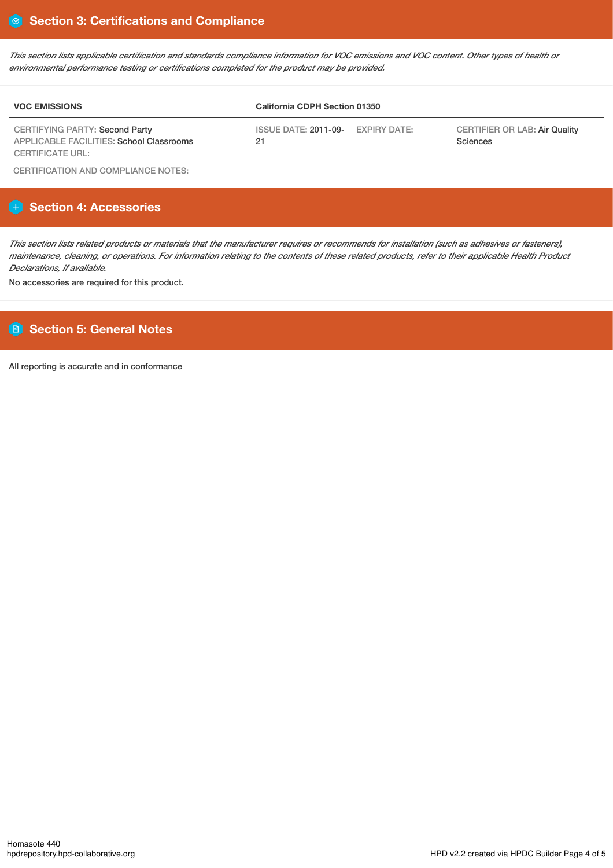This section lists applicable certification and standards compliance information for VOC emissions and VOC content. Other types of health or *environmental performance testing or certifications completed for the product may be provided.*

| <b>VOC EMISSIONS</b>                                                                     | <b>California CDPH Section 01350</b>              |                                                  |  |  |
|------------------------------------------------------------------------------------------|---------------------------------------------------|--------------------------------------------------|--|--|
| <b>CERTIFYING PARTY: Second Party</b><br><b>APPLICABLE FACILITIES: School Classrooms</b> | ISSUE DATE: <b>2011-09-</b><br>EXPIRY DATE:<br>21 | <b>CERTIFIER OR LAB: Air Quality</b><br>Sciences |  |  |
| CERTIFICATE URL:                                                                         |                                                   |                                                  |  |  |

CERTIFICATION AND COMPLIANCE NOTES:

# **Section 4: Accessories**

This section lists related products or materials that the manufacturer requires or recommends for installation (such as adhesives or fasteners), maintenance, cleaning, or operations. For information relating to the contents of these related products, refer to their applicable Health Product *Declarations, if available.*

No accessories are required for this product.

# **Section 5: General Notes**

All reporting is accurate and in conformance